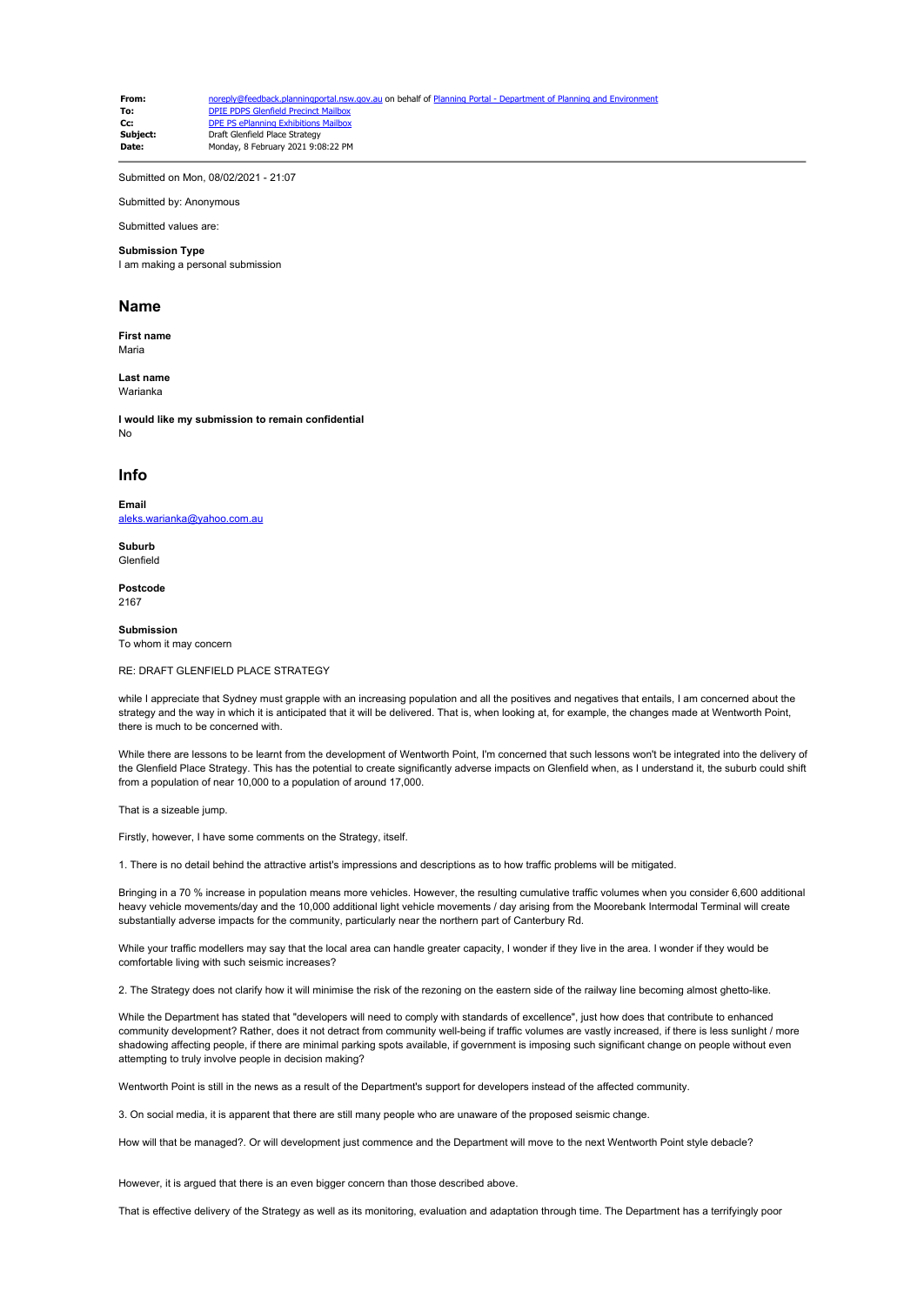**From:** [noreply@feedback.planningportal.nsw.gov.au](mailto:noreply@feedback.planningportal.nsw.gov.au) on behalf of [Planning Portal - Department of Planning and Environment](mailto:noreply@feedback.planningportal.nsw.gov.au) of Planning and Environment of Planning and Environment of Planning and Environment of Planning and E **To:** [DPIE PDPS Glenfield Precinct Mailbox](mailto:glenfield.precinct@planning.nsw.gov.au)<br> **CC:** DPE PS ePlanning Exhibitions Mailbox **Cc:** [DPE PS ePlanning Exhibitions Mailbox](mailto:eplanning.exhibitions@planning.nsw.gov.au)<br> **Subject:** Draft Glenfield Place Strategy **Subject:** Draft Glenfield Place Strategy<br>
Date: Monday 8 February 2021 0:0 **Date:** Monday, 8 February 2021 9:08:22 PM

Submitted on Mon, 08/02/2021 - 21:07

Submitted by: Anonymous

Submitted values are:

## **Submission Type**

I am making a personal submission

## **Name**

**First name** Maria

**Last name** Warianka

**I would like my submission to remain confidential** No

## **Info**

**Email** [aleks.warianka@yahoo.com.au](mailto:aleks.warianka@yahoo.com.au)

**Suburb** Glenfield

**Postcode** 2167

**Submission** To whom it may concern

RE: DRAFT GLENFIELD PLACE STRATEGY

while I appreciate that Sydney must grapple with an increasing population and all the positives and negatives that entails, I am concerned about the strategy and the way in which it is anticipated that it will be delivered. That is, when looking at, for example, the changes made at Wentworth Point, there is much to be concerned with.

While there are lessons to be learnt from the development of Wentworth Point, I'm concerned that such lessons won't be integrated into the delivery of the Glenfield Place Strategy. This has the potential to create significantly adverse impacts on Glenfield when, as I understand it, the suburb could shift from a population of near 10,000 to a population of around 17,000.

That is a sizeable jump.

Firstly, however, I have some comments on the Strategy, itself.

1. There is no detail behind the attractive artist's impressions and descriptions as to how traffic problems will be mitigated.

Bringing in a 70 % increase in population means more vehicles. However, the resulting cumulative traffic volumes when you consider 6,600 additional heavy vehicle movements/day and the 10,000 additional light vehicle movements / day arising from the Moorebank Intermodal Terminal will create substantially adverse impacts for the community, particularly near the northern part of Canterbury Rd.

While your traffic modellers may say that the local area can handle greater capacity, I wonder if they live in the area. I wonder if they would be comfortable living with such seismic increases?

2. The Strategy does not clarify how it will minimise the risk of the rezoning on the eastern side of the railway line becoming almost ghetto-like.

While the Department has stated that "developers will need to comply with standards of excellence", just how does that contribute to enhanced community development? Rather, does it not detract from community well-being if traffic volumes are vastly increased, if there is less sunlight / more shadowing affecting people, if there are minimal parking spots available, if government is imposing such significant change on people without even attempting to truly involve people in decision making?

Wentworth Point is still in the news as a result of the Department's support for developers instead of the affected community.

3. On social media, it is apparent that there are still many people who are unaware of the proposed seismic change.

How will that be managed?. Or will development just commence and the Department will move to the next Wentworth Point style debacle?

However, it is argued that there is an even bigger concern than those described above.

That is effective delivery of the Strategy as well as its monitoring, evaluation and adaptation through time. The Department has a terrifyingly poor